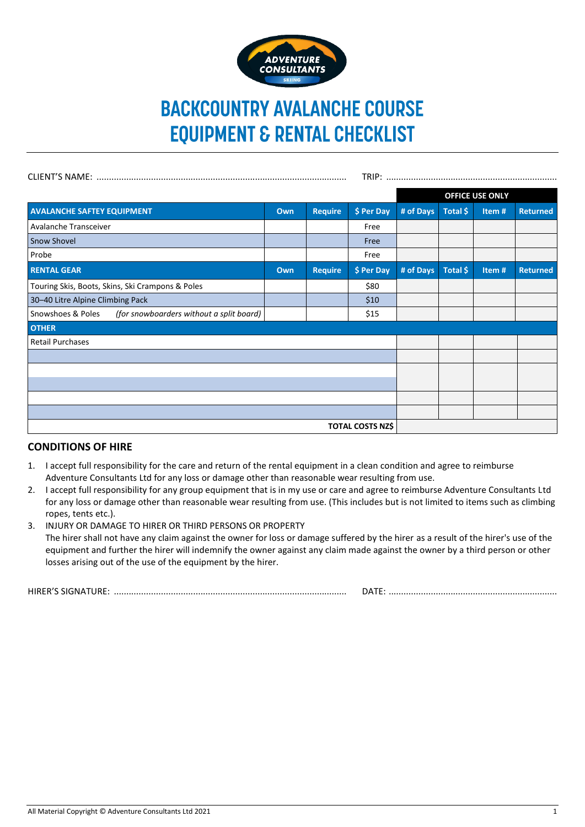

# **BACKCOUNTRY AVALANCHE COURSE EQUIPMENT & RENTAL CHECKLIST**

|                                                               |     |                |            | <b>OFFICE USE ONLY</b> |          |       |                 |
|---------------------------------------------------------------|-----|----------------|------------|------------------------|----------|-------|-----------------|
| <b>AVALANCHE SAFTEY EQUIPMENT</b>                             | Own | <b>Require</b> | \$ Per Day | # of Days              | Total \$ | Item# | <b>Returned</b> |
| Avalanche Transceiver                                         |     |                | Free       |                        |          |       |                 |
| <b>Snow Shovel</b>                                            |     |                | Free       |                        |          |       |                 |
| Probe                                                         |     |                | Free       |                        |          |       |                 |
| <b>RENTAL GEAR</b>                                            | Own | <b>Require</b> | \$ Per Day | # of Days              | Total \$ | Item# | <b>Returned</b> |
| Touring Skis, Boots, Skins, Ski Crampons & Poles              |     |                | \$80       |                        |          |       |                 |
| 30-40 Litre Alpine Climbing Pack                              |     |                | \$10       |                        |          |       |                 |
| Snowshoes & Poles<br>(for snowboarders without a split board) |     |                | \$15       |                        |          |       |                 |
| <b>OTHER</b>                                                  |     |                |            |                        |          |       |                 |
| <b>Retail Purchases</b>                                       |     |                |            |                        |          |       |                 |
|                                                               |     |                |            |                        |          |       |                 |
|                                                               |     |                |            |                        |          |       |                 |
|                                                               |     |                |            |                        |          |       |                 |
|                                                               |     |                |            |                        |          |       |                 |
|                                                               |     |                |            |                        |          |       |                 |
| <b>TOTAL COSTS NZ\$</b>                                       |     |                |            |                        |          |       |                 |

## **CONDITIONS OF HIRE**

- 1. I accept full responsibility for the care and return of the rental equipment in a clean condition and agree to reimburse Adventure Consultants Ltd for any loss or damage other than reasonable wear resulting from use.
- 2. I accept full responsibility for any group equipment that is in my use or care and agree to reimburse Adventure Consultants Ltd for any loss or damage other than reasonable wear resulting from use. (This includes but is not limited to items such as climbing ropes, tents etc.).
- 3. INJURY OR DAMAGE TO HIRER OR THIRD PERSONS OR PROPERTY The hirer shall not have any claim against the owner for loss or damage suffered by the hirer as a result of the hirer's use of the equipment and further the hirer will indemnify the owner against any claim made against the owner by a third person or other losses arising out of the use of the equipment by the hirer.

HIRER'S SIGNATURE: .............................................................................................. DATE: ....................................................................